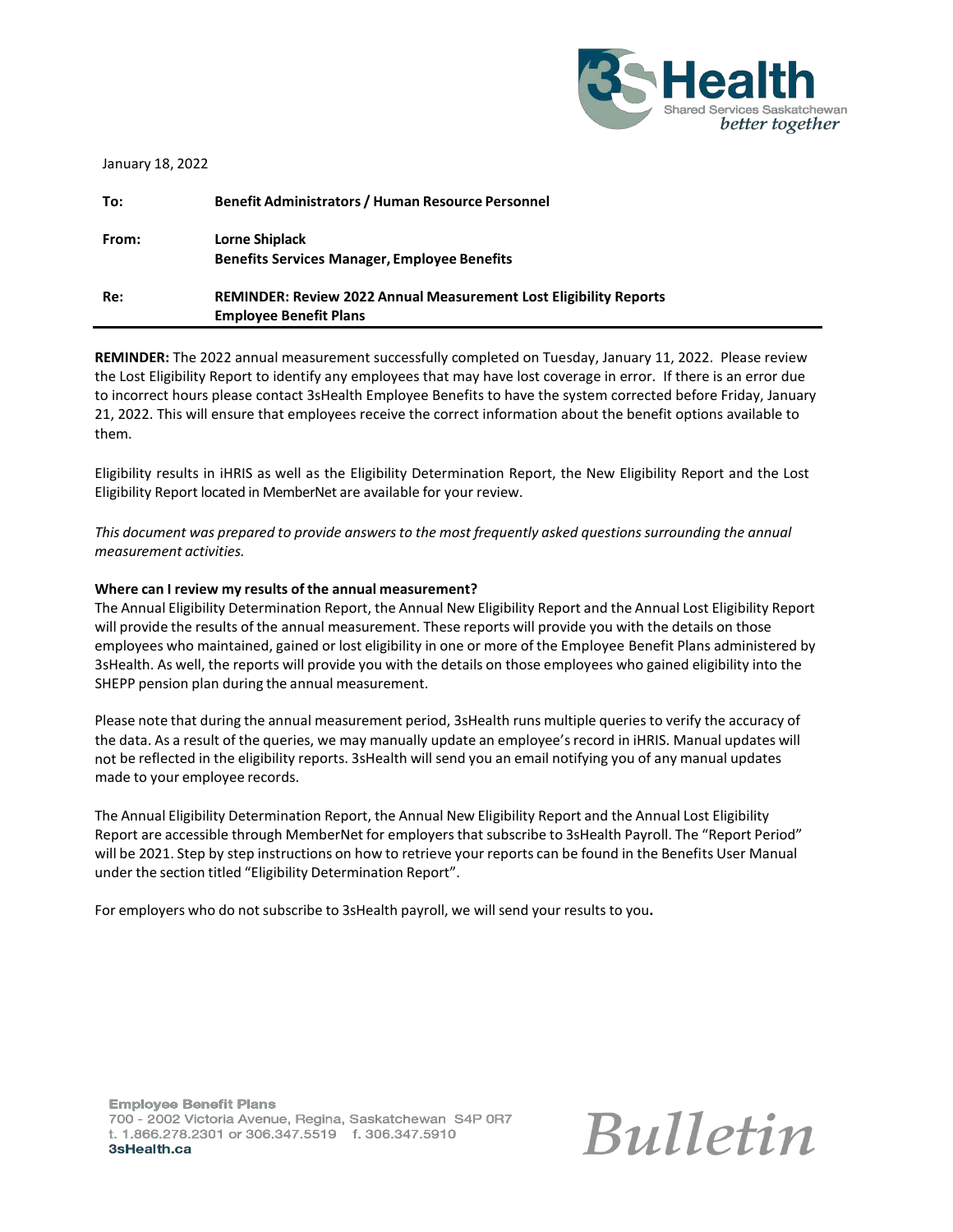

| January 18, 2022 |                                                                                                           |
|------------------|-----------------------------------------------------------------------------------------------------------|
| To:              | <b>Benefit Administrators / Human Resource Personnel</b>                                                  |
| From:            | <b>Lorne Shiplack</b><br><b>Benefits Services Manager, Employee Benefits</b>                              |
| Re:              | <b>REMINDER: Review 2022 Annual Measurement Lost Eligibility Reports</b><br><b>Employee Benefit Plans</b> |

**REMINDER:** The 2022 annual measurement successfully completed on Tuesday, January 11, 2022. Please review the Lost Eligibility Report to identify any employees that may have lost coverage in error. If there is an error due to incorrect hours please contact 3sHealth Employee Benefits to have the system corrected before Friday, January 21, 2022. This will ensure that employees receive the correct information about the benefit options available to them.

Eligibility results in iHRIS as well as the Eligibility Determination Report, the New Eligibility Report and the Lost Eligibility Report located in MemberNet are available for your review.

*This document was prepared to provide answersto the most frequently asked questionssurrounding the annual measurement activities.*

## **Where can I review my results of the annual measurement?**

The Annual Eligibility Determination Report, the Annual New Eligibility Report and the Annual Lost Eligibility Report will provide the results of the annual measurement. These reports will provide you with the details on those employees who maintained, gained or lost eligibility in one or more of the Employee Benefit Plans administered by 3sHealth. As well, the reports will provide you with the details on those employees who gained eligibility into the SHEPP pension plan during the annual measurement.

Please note that during the annual measurement period, 3sHealth runs multiple queriesto verify the accuracy of the data. As a result of the queries, we may manually update an employee's record in iHRIS. Manual updates will not be reflected in the eligibility reports. 3sHealth will send you an email notifying you of any manual updates made to your employee records.

The Annual Eligibility Determination Report, the Annual New Eligibility Report and the Annual Lost Eligibility Report are accessible through MemberNet for employersthat subscribe to 3sHealth Payroll. The "Report Period" will be 2021. Step by step instructions on how to retrieve your reports can be found in the Benefits User Manual under the section titled "Eligibility Determination Report".

For employers who do not subscribe to 3sHealth payroll, we will send your results to you**.**

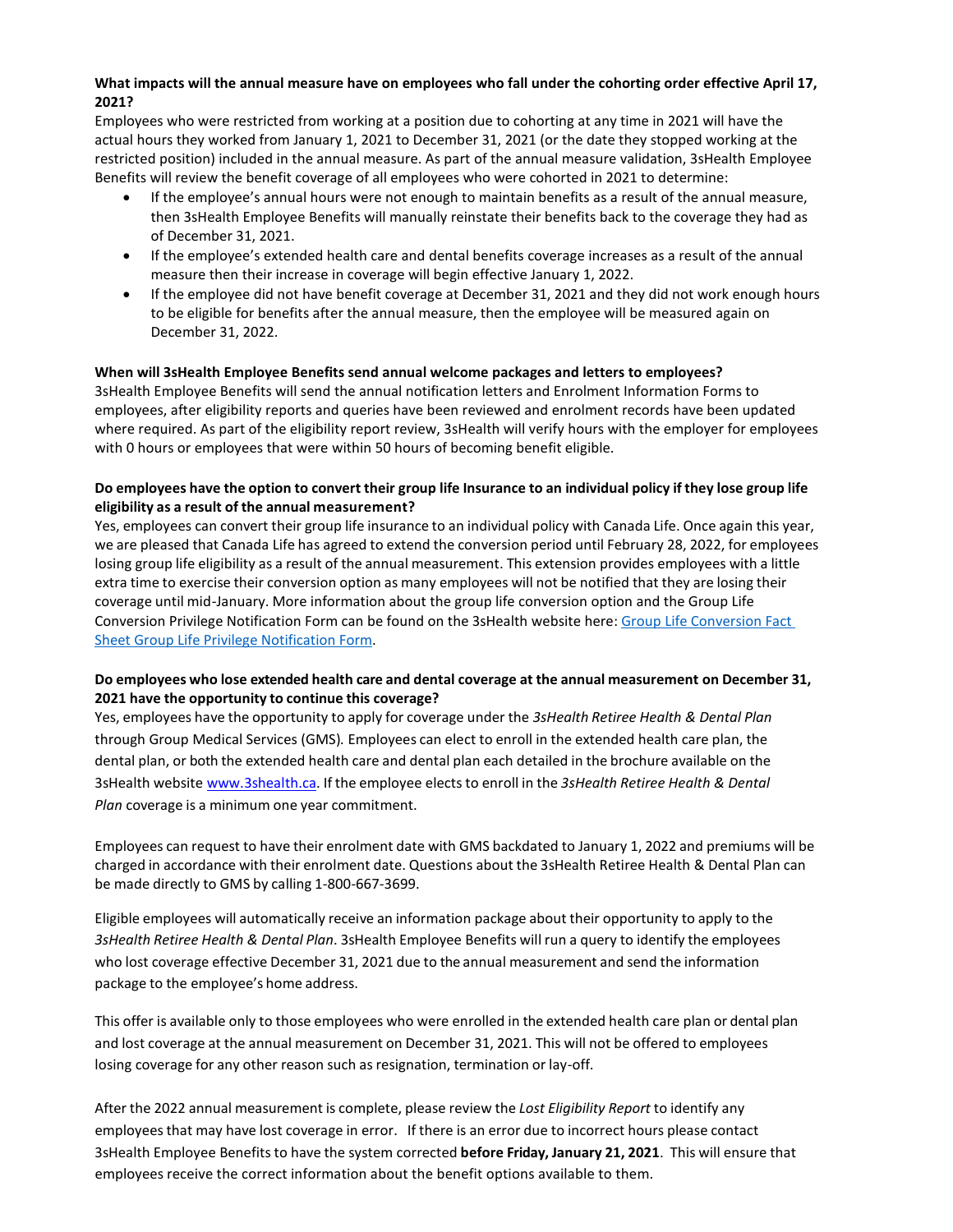# **What impacts will the annual measure have on employees who fall under the cohorting order effective April 17, 2021?**

Employees who were restricted from working at a position due to cohorting at any time in 2021 will have the actual hours they worked from January 1, 2021 to December 31, 2021 (or the date they stopped working at the restricted position) included in the annual measure. As part of the annual measure validation, 3sHealth Employee Benefits will review the benefit coverage of all employees who were cohorted in 2021 to determine:

- If the employee's annual hours were not enough to maintain benefits as a result of the annual measure, then 3sHealth Employee Benefits will manually reinstate their benefits back to the coverage they had as of December 31, 2021.
- If the employee's extended health care and dental benefits coverage increases as a result of the annual measure then their increase in coverage will begin effective January 1, 2022.
- If the employee did not have benefit coverage at December 31, 2021 and they did not work enough hours to be eligible for benefits after the annual measure, then the employee will be measured again on December 31, 2022.

## **When will 3sHealth Employee Benefits send annual welcome packages and letters to employees?**

3sHealth Employee Benefits will send the annual notification letters and Enrolment Information Forms to employees, after eligibility reports and queries have been reviewed and enrolment records have been updated where required. As part of the eligibility report review, 3sHealth will verify hours with the employer for employees with 0 hours or employees that were within 50 hours of becoming benefit eligible.

# Do employees have the option to convert their group life Insurance to an individual policy if they lose group life **eligibility as a result of the annual measurement?**

Yes, employees can convert their group life insurance to an individual policy with Canada Life. Once again this year, we are pleased that Canada Life has agreed to extend the conversion period until February 28, 2022, for employees losing group life eligibility as a result of the annual measurement. This extension provides employees with a little extra time to exercise their conversion option as many employees will not be notified that they are losing their coverage until mid-January. More information about the group life conversion option and the Group Life Conversion Privilege Notification Form can be found on the 3sHealth website here[: Group Life Conversion Fact](https://www.3shealth.ca/pdfs/ebp-docs/group-life-conversion-member-fact-sheet-202010610.pdf)  [Sheet Group Life Privilege Notification Form.](https://www.3shealth.ca/pdfs/ebp-docs/Group-Life-Conversion-Priveledge-Notification-(M5725)-20210823.pdf)

# **Do employees who lose extended health care and dental coverage at the annual measurement on December 31, 2021 have the opportunity to continue this coverage?**

Yes, employees have the opportunity to apply for coverage under the *3sHealth Retiree Health & Dental Plan* through Group Medical Services (GMS)*.* Employees can elect to enroll in the extended health care plan, the dental plan, or both the extended health care and dental plan each detailed in the brochure available on the 3sHealth website [www.3shealth.ca.](http://www.3shealth.ca/) If the employee electsto enroll in the *3sHealth Retiree Health & Dental Plan* coverage is a minimum one year commitment.

Employees can request to have their enrolment date with GMS backdated to January 1, 2022 and premiums will be charged in accordance with their enrolment date. Questions about the 3sHealth Retiree Health & Dental Plan can be made directly to GMS by calling 1-800-667-3699.

Eligible employees will automatically receive an information package about their opportunity to apply to the *3sHealth Retiree Health & Dental Plan*. 3sHealth Employee Benefits will run a query to identify the employees who lost coverage effective December 31, 2021 due to the annual measurement and send the information package to the employee's home address.

This offer is available only to those employees who were enrolled in the extended health care plan or dental plan and lost coverage at the annual measurement on December 31, 2021. This will not be offered to employees losing coverage for any other reason such as resignation, termination or lay-off.

After the 2022 annual measurement is complete, please review the *Lost Eligibility Report* to identify any employeesthat may have lost coverage in error. If there is an error due to incorrect hours please contact 3sHealth Employee Benefitsto have the system corrected **before Friday, January 21, 2021**. This will ensure that employees receive the correct information about the benefit options available to them.